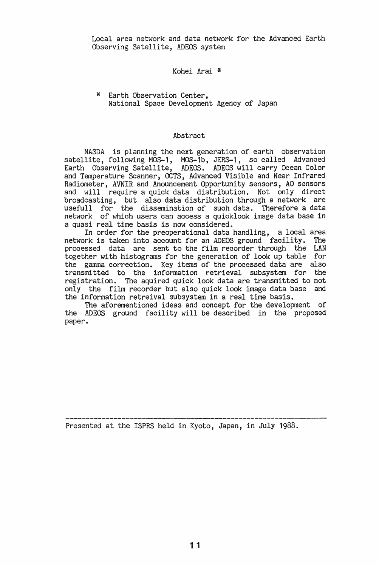Local area network and data network for the Advanced Earth Observing Satellite, ADEOS system

## Kohei Arai '\*

\* Earth Observation Center, National Space Development Agency of Japan

## Abstract

NASDA is planning the next generation of earth observation satellite, following MOS-1, MOS-1b, JERS-1, so called Advanced Earth Observing Satellite, ADEOS. ADEOS will carry Ocean Color and Temperature Scanner, OCTS, Advanced Visible and Near Infrared Radiometer, AVNIR and Anouncement Opportunity sensors, AO sensors and will require a quick data distribution. Not only direct broadcasting, but also data distribution through a network are usefull for the dissemination of such data. Therefore a data network of which users can access a quicklook image data base in a quasi real time basis is now considered.

In order for the preoperational data handling, a local area network is taken into account for an ADEOS ground facility. The processed data are sent to the film recorder through the LAN together with histograms for the generation of look up table for the gamma correction. Key items of the processed data are also transmitted to the information retrieval subsystem for the registration. The aquired quick look data are transmitted to not only the film recorder but also quick look image data base and the information retreival subsystem in a real time basis.

The aforementioned ideas and concept for the development of the ADEOS ground facility will be described in the proposed paper.

Presented at the ISPRS held in Kyoto, Japan, in July 1988.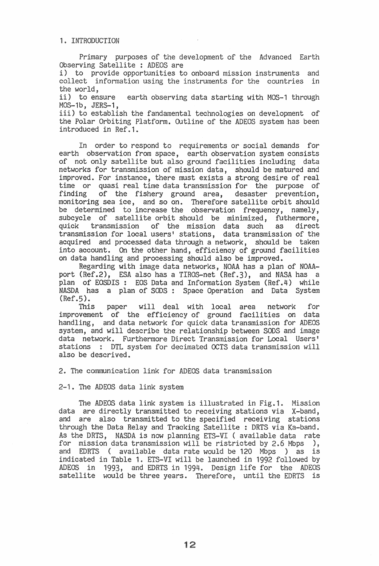Primary purposes of the development of the Advanced Earth Observing Satellite : ADEOS are

i) to provide opportunities to onboard mission instruments and collect information using the instruments for the countries in the world.

ii) to ensure earth observing data starting with MOS-1 through MOS-1b, JERS-1,

iii) to establish the fandamental technologies on development of the Polar Orbiting Platform. Outline of the ADEOS system has been introduced in Ref.1.

In order to respond to requirements or social demands for earth observation from space, earth observation system consists of not only satellite but also ground facilities including data networks for transmission of mission data, should be matured and improved. For instance, there must exists a strong desire of real time or quasi real time data transmission for the purpose of finding of the fishery ground area, desaster prevention. of the fishery ground area, desaster prevention, monitoring sea ice, and so on. Therefore satellite orbit should be determined to increase the observation frequency, namely, subcycle of satellite orbit should be minimized, futhermore, quick transmission of the mission data such as direct quick transmission of the mission data such transmission for local users' stations, data transmission of the acquired and processed data through a network, should be taken into account. On the other hand, efficiency of ground facilities on data handling and processing should also be improved.

Regarding with image data networks, NOAA has a plan of NOAAport (Ref.2), ESA also has a TIROS-net (Ref.3), and NASA has a plan of EOSDIS: EOS Data and Information System (Ref.4) while NASDA has a plan of SODS: Space Operation and Data System  $(Ref.5)$ .

This paper will deal with local area network for improvement of the efficiency of ground facilities on data handling, and data network for quick data transmission for ADEOS system, and will describe the relationship between SODS and image data network. Furthermore Direct Transmission for Local Users' stations : DTL system for decimated OCTS data transmission will also be descrived.

2. The communication link for ADEOS data transmission

2-1. The ADEOS data link system

The ADEOS data link system is illustrated in Fig.1. Mission data are directly transmitted to receiving stations via X-band, and are also transmitted to the specified receiving stations through the Data Relay and Tracking Satellite : DRTS via Ka-band. As the DRTS, NASDA is now planning ETS-VI (available data rate for mission data transmission will be ristricted by 2.6 Mbps ), and EDRTS ( available data rate would be 120 Mbps ) as is<br>indicated in Table 1. ETS-VI will be launched in 1992 followed by ADEOS in 1993, and EDRTS in 1994. Design life for the ADEOS satellite would be three years. Therefore, until the EDRTS is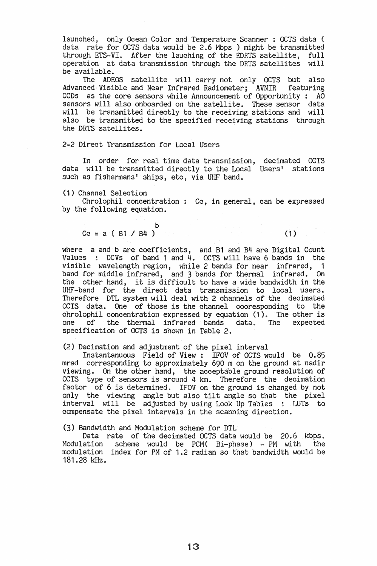launched, only Ocean Color and Temperature Scanner : OCTS data ( data rate for OCTS data would be 2.6 Mbps ) might be transmitted through ETS-VI. After the lauching of the EDRTS satellite, full operation at data transmission through the DRTS satellites will be available.

The ADEOS satellite will carry not only OCTS but also Advanced Visible and Near Infrared Radiometer; AVNIR featuring CCDs as the core sensors while Announcement of Opportunity : AO sensors will also onboarded on the satellite. These sensor data will be transmitted directly to the receiving stations and will also be transmitted to the specified receiving stations through the DRTS satellites.

2-2 Direct Transmission for Local Users

In order for real time data transmission, decimated OCTS data will be transmitted directly to the Local<sup>'</sup> Users' stations such as fishermans' ships, etc, via UHF band.

(1) Channel Selection

Chrolophil concentration : Cc, in general, can be expressed by the following equation.

$$
Cc = a (B1 / B4)
$$

 $(1)$ 

where a and b are coefficients, and B1 and B4 are Digital Count Values : DCVs of band 1 and  $4.$  OCTS will have 6 bands in the visible wavelength region, while 2 bands for near infrared, 1 band for middle infrared, and 3 bands for thermal infrared. On the other hand, it is difficult to have a wide bandwidth in the UHF-band for the direct data transmission to local users. Therefore DTL system will deal with 2 channels of the decimated OCTS data. One of those is the channel cooresponding to the chrolophil concentration expressed by equation (1). The other is<br>one of the thermal infrared bands data. The expected the thermal infrared bands data. The specification of OCTS is shown in Table 2.

(2) Decimation and adjustment of the pixel interval

Instantanuous Field of View: IFOV of OCTS would be 0.85 mrad corresponding to approximately 690 m on the ground at nadir viewing. On the other hand, the acceptable ground resolution of OCTS type of sensors is around  $4 \text{ km}$ . Therefore the decimation factor of 6 is determined. IFOV on the ground is changed by not only the viewing angle but also tilt angle so that the pixel interval will be adjusted by using Look Up Tables : LUTs to compensate the pixel intervals in the scanning direction.

(3) Bandwidth and Modulation scheme for DTL

Data rate of the decimated OCTS data would be 20.6 kbps. Modulation scheme would be PCM( Bi-phase) - PM with the modulation index for PM of 1.2 radian so that bandwidth would be 181.28 kHz.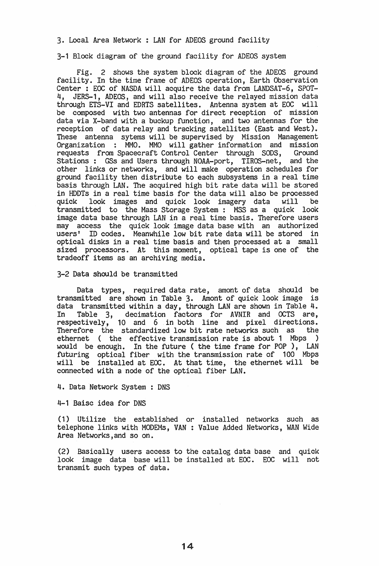3. Local Area Network : LAN for ADEOS ground facility

3-1 Block diagram of the ground facility for ADEOS system

Fig. 2 shows the system block diagram of the ADEOS ground facility. In the time frame of ADEOS operation, Earth Observation Center : EOC of NASDA will acquire the data from LANDSAT-6, SPOT-4, JERS-1, ADEOS, and will also receive the relayed mission data through ETS-VI and EDRTS satellites. Antenna system at EOC will be composed with two antennas for direct reception of mission data via X-band with a buckup function, and two antennas for the reception of data relay and tracking satellites (East and West). These antenna sytems will be supervised by Mission Management Organization : MMO. MMO will gather information and mission requests from Spacecraft Control Center through SODS, Ground Stations: GSs and Users through NOAA-port, TIROS-net, and the other links or networks, and will make operation schedules for ground facility then distribute to each subsystems in a real time basis through LAN. The acquired high bit rate data will be stored in HDDTs in a real time basis for the data will also be processed look images and quick look imagery data will transmitted to the Mass Storage System: MSS as a quick look image data base through LAN in a real time basis. Therefore users may access the quick look image data base with an authorized users' ID codes. Meanwhile low bit rate data will be stored in optical disks in a real time basis and then processed at a small sized processors. At this moment, optical tape is one of the tradeoff items as an archiving media.

3-2 Data should be transmitted

Data types, required data rate, amont of data should be transmitted are shown in Table 3. Amont of quick look image is data transmitted within a day, through LAN are shown in Table 4. In Table 3, decimation factors for AVNIR and OCTS are, respectively, 10 and 6 in both line and pixel directions. Therefore the standardized low bit rate networks such as the ethernet ( the effective transmission rate is about 1 Mbps ) would be enough. In the future ( the time frame for POP), LAN futuring optical fiber with the transmission rate of 100 Mbps will be installed at EOC. At that time, the ethernet will be connected with a node of the optical fiber LAN.

4. Data Network System : DNS

4-1 Baisc idea for DNS

(1) Utilize the established or installed networks such as telephone links with MODEMs, VAN: Value Added Networks, WAN Wide Area Networks,and so on.

(2) BaSically users access to the catalog data base and quick look image data base will be installed at EOC. EOC will not transmit such types of data.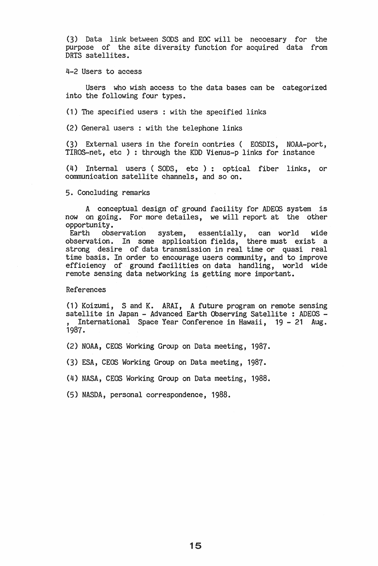(3) Data link between SODS and EOC will be neccesary for the purpose of the site diversity function for acquired data from DRTS satellites ..

4-2 Users to access

Users who wish access to the data bases can be categorized into the following four types.

(1) The specified users: with the specified links

(2) General users : with the telephone links

(3) External users in the forein contries ( EOSDIS, NOAA-port, TIROS-net, etc ) : through the KDD Vienus-p links for instance

(4) Internal users (SODS, etc): optical fiber links, or communication satellite channels, and so on.

## 5. Concluding remarks

A conceptual design of ground facility for ADEOS system is now on going.. For more detailes, we will report at the other opportunity.

Earth observation system, essentially, can world wide observation. In some application fields, there must exist a strong desire of data transmission in real time or quasi real time basis. In order to encourage users community, and to improve efficiency of ground facilities on data handling, world wide remote sensing data networking is getting more important.

References

(1) Koizumi, S and K. ARAI, A future program on remote sensing satellite in Japan - Advanced Earth Observing Satellite : ADEOS -<br>, International Space Year Conference in Hawaii, 19 - 21 Aug. 1987.

(2) NOAA, CEOS Working Group on Data meeting, 1987.

(3) ESA, CEOS Working Group on Data meeting, 1987.

(4) NASA, CEOS Working Group on Data meeting, 1988.

(5) NASDA, personal correspondence, 1988.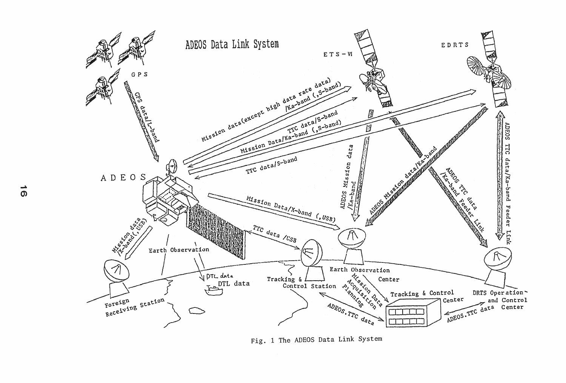

Fig. 1 The ADEOS Data Link System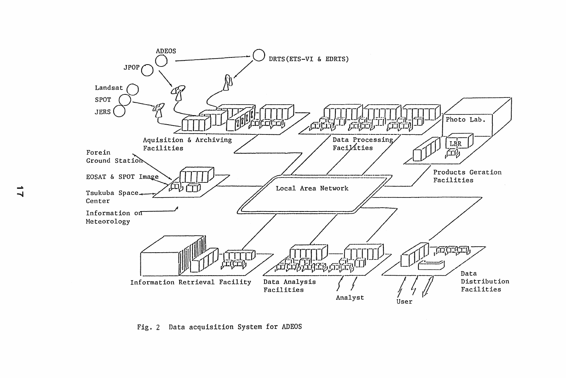

Fig. 2 Data acquisition System for ADEOS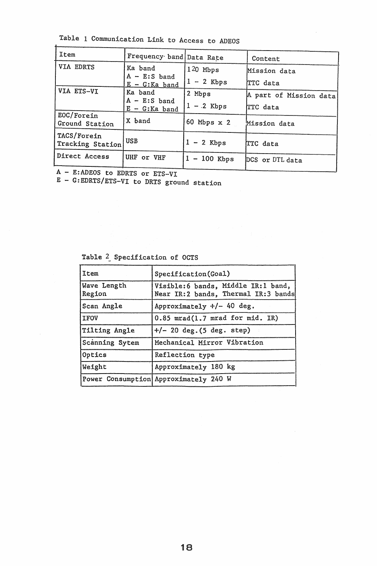Table 1 Communication Link to Access to ADEOS

| Item                            | Frequency band   Data Rate           |                | Content                |  |  |
|---------------------------------|--------------------------------------|----------------|------------------------|--|--|
| VIA EDRTS                       | Ka band                              | $120$ Mbps     | Mission data           |  |  |
|                                 | $A - E: S$ band<br>$E - G$ : Ka band | $1 - 2$ Kbps   | <b>TTC</b> data        |  |  |
| VIA ETS-VI                      | Ka band                              | 2 Mbps         | A part of Mission data |  |  |
|                                 | $A - E: S$ band<br>$E - G$ : Ka band | $1 - .2$ Kbps  | TTC data               |  |  |
| EOC/Forein<br>Ground Station    | X band                               | 60 Mbps $x$ 2  | Mission data           |  |  |
| TACS/Forein<br>Tracking Station | <b>USB</b>                           | $1 - 2$ Kbps   | TTC data               |  |  |
| Direct Access                   | UHF or VHF                           | $1 - 100$ Kbps | DCS or DTL data        |  |  |
| $\Lambda = 0.1000$ $\mu$ mond   |                                      |                |                        |  |  |

A - E:ADEOS to EDRTS or ETS-VI

 $\overline{1}$ 

E - G:EDRTS/ETS-VI to DRTS ground station

Table 2\_ Specification of OCTS

| Item                  | Specification(Goal)                                                       |  |  |
|-----------------------|---------------------------------------------------------------------------|--|--|
| Wave Length<br>Region | Visible:6 bands, Middle IR:1 band,<br>Near IR:2 bands, Thermal IR:3 bands |  |  |
| Scan Angle            | Approximately $+/-$ 40 deg.                                               |  |  |
| <b>IFOV</b>           | $0.85$ mrad $(1.7$ mrad for mid. IR)                                      |  |  |
| Tilting Angle         | $+/- 20 \text{ deg.} (5 \text{ deg. step})$                               |  |  |
| Scanning Sytem        | Mechanical Mirror Vibration                                               |  |  |
| Optics                | Reflection type                                                           |  |  |
| Weight                | Approximately 180 kg                                                      |  |  |
|                       | Power Consumption Approximately 240 W                                     |  |  |